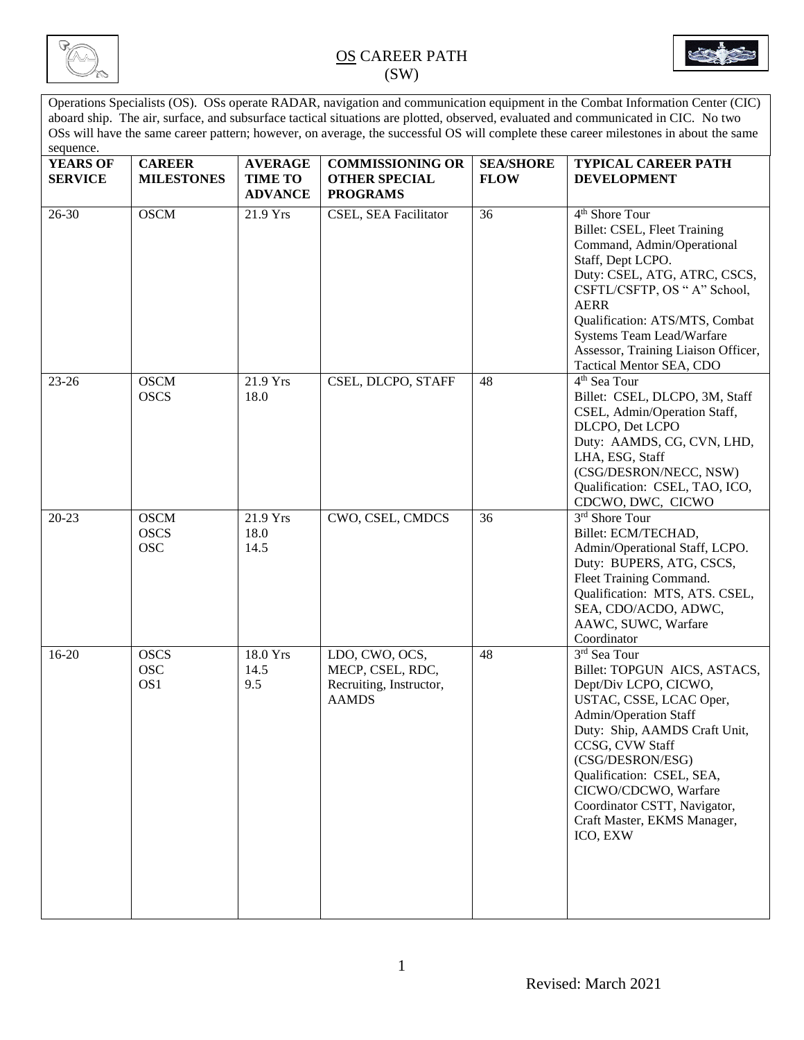



Operations Specialists (OS). OSs operate RADAR, navigation and communication equipment in the Combat Information Center (CIC) aboard ship. The air, surface, and subsurface tactical situations are plotted, observed, evaluated and communicated in CIC. No two OSs will have the same career pattern; however, on average, the successful OS will complete these career milestones in about the same sequence.

| <b>YEARS OF</b> | <b>CAREER</b>                            | <b>AVERAGE</b>                   | <b>COMMISSIONING OR</b>                                                       | <b>SEA/SHORE</b> | TYPICAL CAREER PATH                                                                                                                                                                                                                                                                                                               |
|-----------------|------------------------------------------|----------------------------------|-------------------------------------------------------------------------------|------------------|-----------------------------------------------------------------------------------------------------------------------------------------------------------------------------------------------------------------------------------------------------------------------------------------------------------------------------------|
| <b>SERVICE</b>  | <b>MILESTONES</b>                        | <b>TIME TO</b><br><b>ADVANCE</b> | <b>OTHER SPECIAL</b><br><b>PROGRAMS</b>                                       | <b>FLOW</b>      | <b>DEVELOPMENT</b>                                                                                                                                                                                                                                                                                                                |
| 26-30           | <b>OSCM</b>                              | 21.9 Yrs                         | CSEL, SEA Facilitator                                                         | 36               | 4 <sup>th</sup> Shore Tour<br>Billet: CSEL, Fleet Training<br>Command, Admin/Operational<br>Staff, Dept LCPO.<br>Duty: CSEL, ATG, ATRC, CSCS,<br>CSFTL/CSFTP, OS "A" School,<br><b>AERR</b><br>Qualification: ATS/MTS, Combat<br>Systems Team Lead/Warfare<br>Assessor, Training Liaison Officer,<br>Tactical Mentor SEA, CDO     |
| $23 - 26$       | <b>OSCM</b><br><b>OSCS</b>               | 21.9 Yrs<br>18.0                 | CSEL, DLCPO, STAFF                                                            | 48               | 4 <sup>th</sup> Sea Tour<br>Billet: CSEL, DLCPO, 3M, Staff<br>CSEL, Admin/Operation Staff,<br>DLCPO, Det LCPO<br>Duty: AAMDS, CG, CVN, LHD,<br>LHA, ESG, Staff<br>(CSG/DESRON/NECC, NSW)<br>Qualification: CSEL, TAO, ICO,<br>CDCWO, DWC, CICWO                                                                                   |
| $20 - 23$       | <b>OSCM</b><br><b>OSCS</b><br><b>OSC</b> | 21.9 Yrs<br>18.0<br>14.5         | CWO, CSEL, CMDCS                                                              | 36               | 3rd Shore Tour<br>Billet: ECM/TECHAD,<br>Admin/Operational Staff, LCPO.<br>Duty: BUPERS, ATG, CSCS,<br>Fleet Training Command.<br>Qualification: MTS, ATS. CSEL,<br>SEA, CDO/ACDO, ADWC,<br>AAWC, SUWC, Warfare<br>Coordinator                                                                                                    |
| 16-20           | <b>OSCS</b><br><b>OSC</b><br>OS1         | 18.0 Yrs<br>14.5<br>9.5          | LDO, CWO, OCS,<br>MECP, CSEL, RDC,<br>Recruiting, Instructor,<br><b>AAMDS</b> | 48               | 3rd Sea Tour<br>Billet: TOPGUN AICS, ASTACS,<br>Dept/Div LCPO, CICWO,<br>USTAC, CSSE, LCAC Oper,<br>Admin/Operation Staff<br>Duty: Ship, AAMDS Craft Unit,<br>CCSG, CVW Staff<br>(CSG/DESRON/ESG)<br>Qualification: CSEL, SEA,<br>CICWO/CDCWO, Warfare<br>Coordinator CSTT, Navigator,<br>Craft Master, EKMS Manager,<br>ICO, EXW |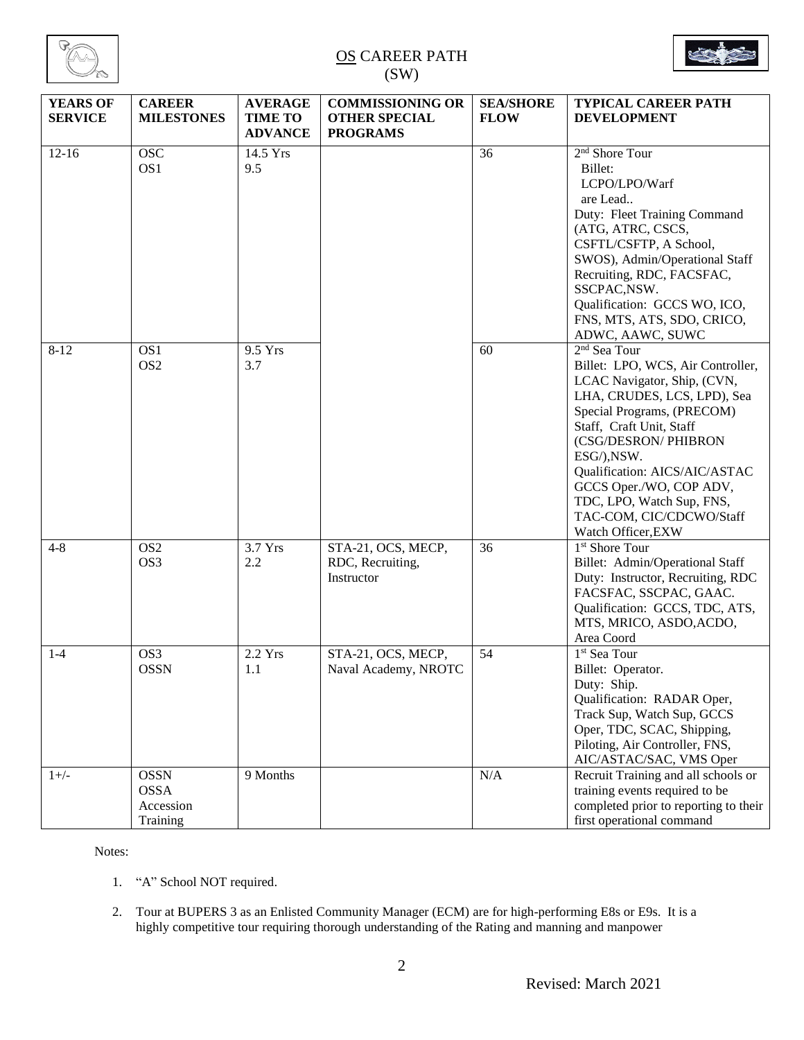



| <b>YEARS OF</b><br><b>SERVICE</b> | <b>CAREER</b><br><b>MILESTONES</b>                  | <b>AVERAGE</b><br><b>TIME TO</b><br><b>ADVANCE</b> | <b>COMMISSIONING OR</b><br><b>OTHER SPECIAL</b><br><b>PROGRAMS</b> | <b>SEA/SHORE</b><br><b>FLOW</b> | TYPICAL CAREER PATH<br><b>DEVELOPMENT</b>                                                                                                                                                                                                                                                                                                                     |
|-----------------------------------|-----------------------------------------------------|----------------------------------------------------|--------------------------------------------------------------------|---------------------------------|---------------------------------------------------------------------------------------------------------------------------------------------------------------------------------------------------------------------------------------------------------------------------------------------------------------------------------------------------------------|
| $12 - 16$                         | <b>OSC</b><br>OS1                                   | 14.5 Yrs<br>9.5                                    |                                                                    | 36                              | 2 <sup>nd</sup> Shore Tour<br>Billet:<br>LCPO/LPO/Warf<br>are Lead<br>Duty: Fleet Training Command<br>(ATG, ATRC, CSCS,<br>CSFTL/CSFTP, A School,<br>SWOS), Admin/Operational Staff<br>Recruiting, RDC, FACSFAC,<br>SSCPAC, NSW.<br>Qualification: GCCS WO, ICO,<br>FNS, MTS, ATS, SDO, CRICO,<br>ADWC, AAWC, SUWC                                            |
| $8-12$                            | OS1<br>OS <sub>2</sub>                              | 9.5 Yrs<br>3.7                                     |                                                                    | 60                              | $2nd$ Sea Tour<br>Billet: LPO, WCS, Air Controller,<br>LCAC Navigator, Ship, (CVN,<br>LHA, CRUDES, LCS, LPD), Sea<br>Special Programs, (PRECOM)<br>Staff, Craft Unit, Staff<br>(CSG/DESRON/ PHIBRON<br>ESG/), NSW.<br>Qualification: AICS/AIC/ASTAC<br>GCCS Oper./WO, COP ADV,<br>TDC, LPO, Watch Sup, FNS,<br>TAC-COM, CIC/CDCWO/Staff<br>Watch Officer, EXW |
| $4 - 8$                           | OS <sub>2</sub><br>OS <sub>3</sub>                  | 3.7 Yrs<br>2.2                                     | STA-21, OCS, MECP,<br>RDC, Recruiting,<br>Instructor               | 36                              | 1 <sup>st</sup> Shore Tour<br>Billet: Admin/Operational Staff<br>Duty: Instructor, Recruiting, RDC<br>FACSFAC, SSCPAC, GAAC.<br>Qualification: GCCS, TDC, ATS,<br>MTS, MRICO, ASDO, ACDO,<br>Area Coord                                                                                                                                                       |
| $1-4$                             | OS3<br><b>OSSN</b>                                  | 2.2 Yrs<br>1.1                                     | STA-21, OCS, MECP,<br>Naval Academy, NROTC                         | 54                              | 1 <sup>st</sup> Sea Tour<br>Billet: Operator.<br>Duty: Ship.<br>Qualification: RADAR Oper,<br>Track Sup, Watch Sup, GCCS<br>Oper, TDC, SCAC, Shipping,<br>Piloting, Air Controller, FNS,<br>AIC/ASTAC/SAC, VMS Oper                                                                                                                                           |
| $1+/-$                            | <b>OSSN</b><br><b>OSSA</b><br>Accession<br>Training | 9 Months                                           |                                                                    | N/A                             | Recruit Training and all schools or<br>training events required to be<br>completed prior to reporting to their<br>first operational command                                                                                                                                                                                                                   |

Notes:

1. "A" School NOT required.

2. Tour at BUPERS 3 as an Enlisted Community Manager (ECM) are for high-performing E8s or E9s. It is a highly competitive tour requiring thorough understanding of the Rating and manning and manpower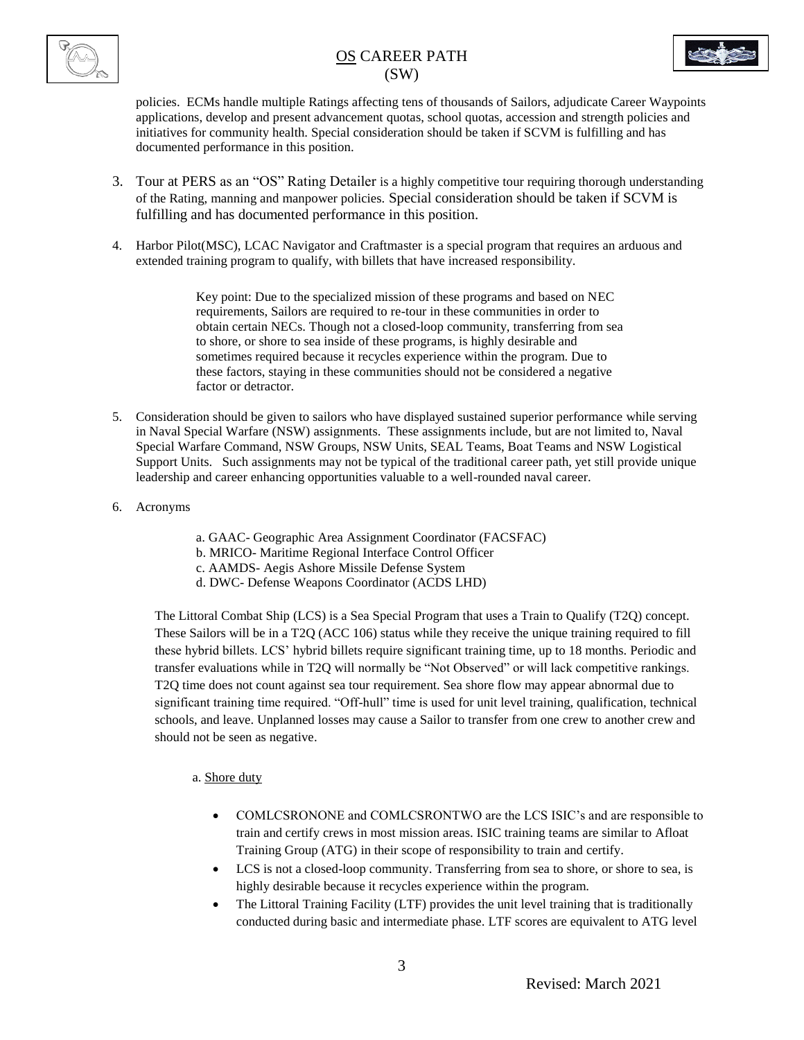

policies. ECMs handle multiple Ratings affecting tens of thousands of Sailors, adjudicate Career Waypoints applications, develop and present advancement quotas, school quotas, accession and strength policies and initiatives for community health. Special consideration should be taken if SCVM is fulfilling and has documented performance in this position.

- 3. Tour at PERS as an "OS" Rating Detailer is a highly competitive tour requiring thorough understanding of the Rating, manning and manpower policies. Special consideration should be taken if SCVM is fulfilling and has documented performance in this position.
- 4. Harbor Pilot(MSC), LCAC Navigator and Craftmaster is a special program that requires an arduous and extended training program to qualify, with billets that have increased responsibility.

Key point: Due to the specialized mission of these programs and based on NEC requirements, Sailors are required to re-tour in these communities in order to obtain certain NECs. Though not a closed-loop community, transferring from sea to shore, or shore to sea inside of these programs, is highly desirable and sometimes required because it recycles experience within the program. Due to these factors, staying in these communities should not be considered a negative factor or detractor.

- 5. Consideration should be given to sailors who have displayed sustained superior performance while serving in Naval Special Warfare (NSW) assignments. These assignments include, but are not limited to, Naval Special Warfare Command, NSW Groups, NSW Units, SEAL Teams, Boat Teams and NSW Logistical Support Units. Such assignments may not be typical of the traditional career path, yet still provide unique leadership and career enhancing opportunities valuable to a well-rounded naval career.
- 6. Acronyms
- a. GAAC- Geographic Area Assignment Coordinator (FACSFAC)
- b. MRICO- Maritime Regional Interface Control Officer
- c. AAMDS- Aegis Ashore Missile Defense System
- d. DWC- Defense Weapons Coordinator (ACDS LHD)

The Littoral Combat Ship (LCS) is a Sea Special Program that uses a Train to Qualify (T2Q) concept. These Sailors will be in a T2Q (ACC 106) status while they receive the unique training required to fill these hybrid billets. LCS' hybrid billets require significant training time, up to 18 months. Periodic and transfer evaluations while in T2Q will normally be "Not Observed" or will lack competitive rankings. T2Q time does not count against sea tour requirement. Sea shore flow may appear abnormal due to significant training time required. "Off-hull" time is used for unit level training, qualification, technical schools, and leave. Unplanned losses may cause a Sailor to transfer from one crew to another crew and should not be seen as negative.

### a. Shore duty

- COMLCSRONONE and COMLCSRONTWO are the LCS ISIC's and are responsible to train and certify crews in most mission areas. ISIC training teams are similar to Afloat Training Group (ATG) in their scope of responsibility to train and certify.
- LCS is not a closed-loop community. Transferring from sea to shore, or shore to sea, is highly desirable because it recycles experience within the program.
- The Littoral Training Facility (LTF) provides the unit level training that is traditionally conducted during basic and intermediate phase. LTF scores are equivalent to ATG level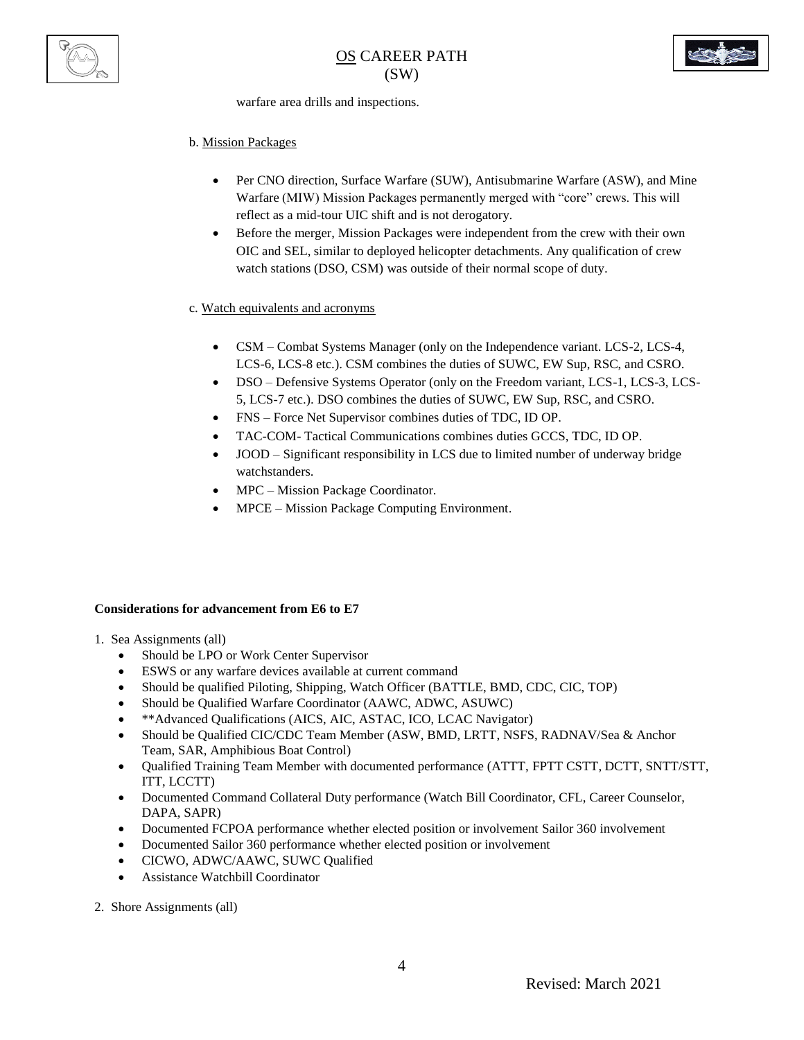



warfare area drills and inspections.

#### b. Mission Packages

- Per CNO direction, Surface Warfare (SUW), Antisubmarine Warfare (ASW), and Mine Warfare (MIW) Mission Packages permanently merged with "core" crews. This will reflect as a mid-tour UIC shift and is not derogatory.
- Before the merger, Mission Packages were independent from the crew with their own OIC and SEL, similar to deployed helicopter detachments. Any qualification of crew watch stations (DSO, CSM) was outside of their normal scope of duty.

#### c. Watch equivalents and acronyms

- CSM Combat Systems Manager (only on the Independence variant. LCS-2, LCS-4, LCS-6, LCS-8 etc.). CSM combines the duties of SUWC, EW Sup, RSC, and CSRO.
- DSO Defensive Systems Operator (only on the Freedom variant, LCS-1, LCS-3, LCS-5, LCS-7 etc.). DSO combines the duties of SUWC, EW Sup, RSC, and CSRO.
- FNS Force Net Supervisor combines duties of TDC, ID OP.
- TAC-COM- Tactical Communications combines duties GCCS, TDC, ID OP.
- JOOD Significant responsibility in LCS due to limited number of underway bridge watchstanders.
- MPC Mission Package Coordinator.
- MPCE Mission Package Computing Environment.

#### **Considerations for advancement from E6 to E7**

1. Sea Assignments (all)

- Should be LPO or Work Center Supervisor
- ESWS or any warfare devices available at current command
- Should be qualified Piloting, Shipping, Watch Officer (BATTLE, BMD, CDC, CIC, TOP)
- Should be Qualified Warfare Coordinator (AAWC, ADWC, ASUWC)
- \*\*Advanced Qualifications (AICS, AIC, ASTAC, ICO, LCAC Navigator)
- Should be Qualified CIC/CDC Team Member (ASW, BMD, LRTT, NSFS, RADNAV/Sea & Anchor Team, SAR, Amphibious Boat Control)
- Qualified Training Team Member with documented performance (ATTT, FPTT CSTT, DCTT, SNTT/STT, ITT, LCCTT)
- Documented Command Collateral Duty performance (Watch Bill Coordinator, CFL, Career Counselor, DAPA, SAPR)
- Documented FCPOA performance whether elected position or involvement Sailor 360 involvement
- Documented Sailor 360 performance whether elected position or involvement
- CICWO, ADWC/AAWC, SUWC Qualified
- Assistance Watchbill Coordinator
- 2. Shore Assignments (all)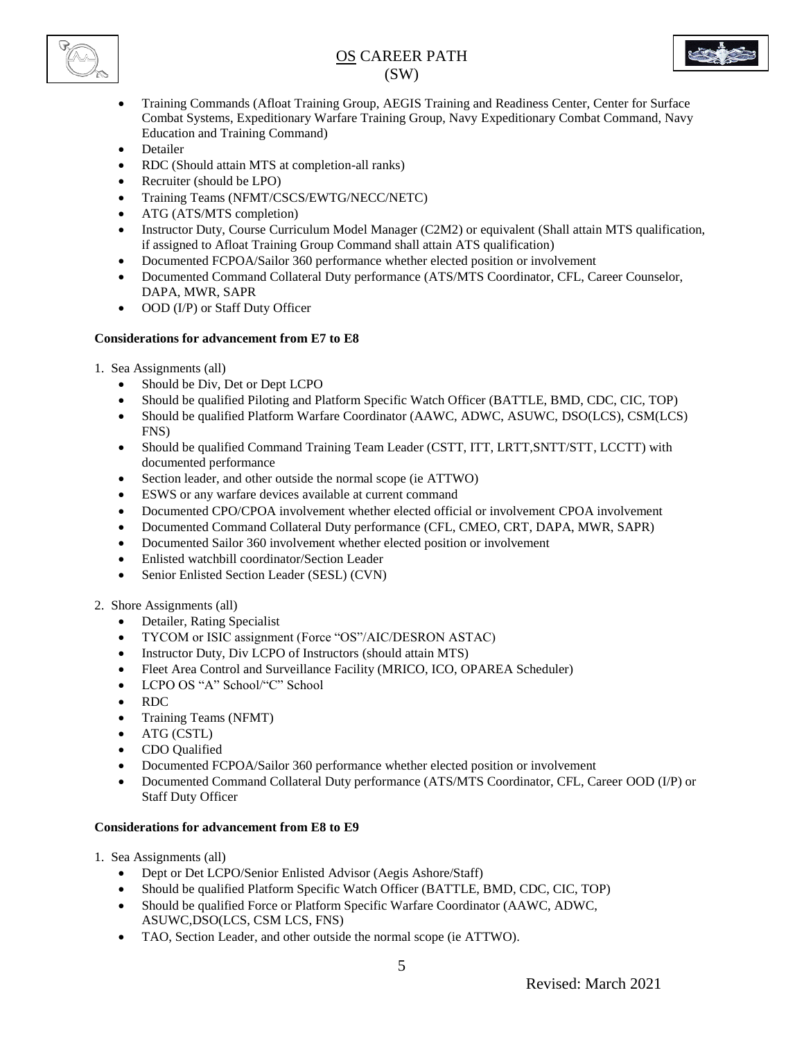



- Training Commands (Afloat Training Group, AEGIS Training and Readiness Center, Center for Surface Combat Systems, Expeditionary Warfare Training Group, Navy Expeditionary Combat Command, Navy Education and Training Command)
- Detailer
- RDC (Should attain MTS at completion-all ranks)
- Recruiter (should be LPO)
- Training Teams (NFMT/CSCS/EWTG/NECC/NETC)
- ATG (ATS/MTS completion)
- Instructor Duty, Course Curriculum Model Manager (C2M2) or equivalent (Shall attain MTS qualification, if assigned to Afloat Training Group Command shall attain ATS qualification)
- Documented FCPOA/Sailor 360 performance whether elected position or involvement
- Documented Command Collateral Duty performance (ATS/MTS Coordinator, CFL, Career Counselor, DAPA, MWR, SAPR
- OOD (I/P) or Staff Duty Officer

### **Considerations for advancement from E7 to E8**

- 1. Sea Assignments (all)
	- Should be Div, Det or Dept LCPO
	- Should be qualified Piloting and Platform Specific Watch Officer (BATTLE, BMD, CDC, CIC, TOP)
	- Should be qualified Platform Warfare Coordinator (AAWC, ADWC, ASUWC, DSO(LCS), CSM(LCS) FNS)
	- Should be qualified Command Training Team Leader (CSTT, ITT, LRTT,SNTT/STT, LCCTT) with documented performance
	- Section leader, and other outside the normal scope (ie ATTWO)
	- ESWS or any warfare devices available at current command
	- Documented CPO/CPOA involvement whether elected official or involvement CPOA involvement
	- Documented Command Collateral Duty performance (CFL, CMEO, CRT, DAPA, MWR, SAPR)
	- Documented Sailor 360 involvement whether elected position or involvement
	- Enlisted watchbill coordinator/Section Leader
	- Senior Enlisted Section Leader (SESL) (CVN)

#### 2. Shore Assignments (all)

- Detailer, Rating Specialist
- TYCOM or ISIC assignment (Force "OS"/AIC/DESRON ASTAC)
- Instructor Duty, Div LCPO of Instructors (should attain MTS)
- Fleet Area Control and Surveillance Facility (MRICO, ICO, OPAREA Scheduler)
- LCPO OS "A" School/"C" School
- RDC
- Training Teams (NFMT)
- ATG (CSTL)
- CDO Qualified
- Documented FCPOA/Sailor 360 performance whether elected position or involvement
- Documented Command Collateral Duty performance (ATS/MTS Coordinator, CFL, Career OOD (I/P) or Staff Duty Officer

#### **Considerations for advancement from E8 to E9**

1. Sea Assignments (all)

- Dept or Det LCPO/Senior Enlisted Advisor (Aegis Ashore/Staff)
- Should be qualified Platform Specific Watch Officer (BATTLE, BMD, CDC, CIC, TOP)
- Should be qualified Force or Platform Specific Warfare Coordinator (AAWC, ADWC, ASUWC,DSO(LCS, CSM LCS, FNS)
- TAO, Section Leader, and other outside the normal scope (ie ATTWO).